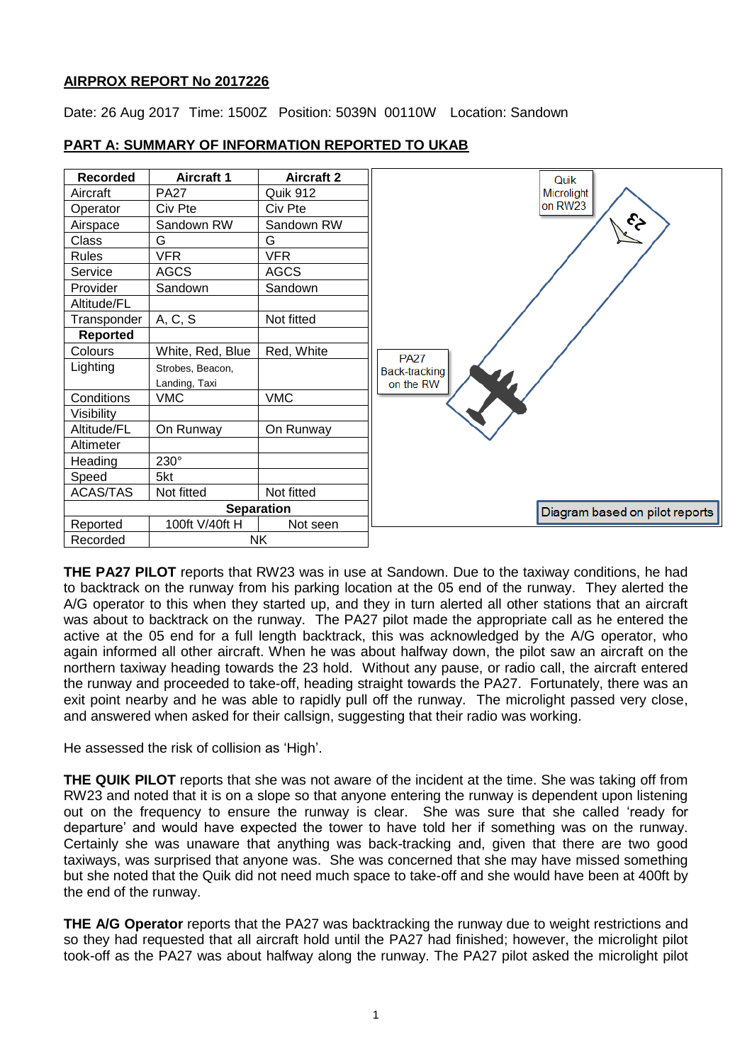# **AIRPROX REPORT No 2017226**

Date: 26 Aug 2017 Time: 1500Z Position: 5039N 00110W Location: Sandown



# **PART A: SUMMARY OF INFORMATION REPORTED TO UKAB**

**THE PA27 PILOT** reports that RW23 was in use at Sandown. Due to the taxiway conditions, he had to backtrack on the runway from his parking location at the 05 end of the runway. They alerted the A/G operator to this when they started up, and they in turn alerted all other stations that an aircraft was about to backtrack on the runway. The PA27 pilot made the appropriate call as he entered the active at the 05 end for a full length backtrack, this was acknowledged by the A/G operator, who again informed all other aircraft. When he was about halfway down, the pilot saw an aircraft on the northern taxiway heading towards the 23 hold. Without any pause, or radio call, the aircraft entered the runway and proceeded to take-off, heading straight towards the PA27. Fortunately, there was an exit point nearby and he was able to rapidly pull off the runway. The microlight passed very close, and answered when asked for their callsign, suggesting that their radio was working.

He assessed the risk of collision as 'High'.

**THE QUIK PILOT** reports that she was not aware of the incident at the time. She was taking off from RW23 and noted that it is on a slope so that anyone entering the runway is dependent upon listening out on the frequency to ensure the runway is clear. She was sure that she called 'ready for departure' and would have expected the tower to have told her if something was on the runway. Certainly she was unaware that anything was back-tracking and, given that there are two good taxiways, was surprised that anyone was. She was concerned that she may have missed something but she noted that the Quik did not need much space to take-off and she would have been at 400ft by the end of the runway.

**THE A/G Operator** reports that the PA27 was backtracking the runway due to weight restrictions and so they had requested that all aircraft hold until the PA27 had finished; however, the microlight pilot took-off as the PA27 was about halfway along the runway. The PA27 pilot asked the microlight pilot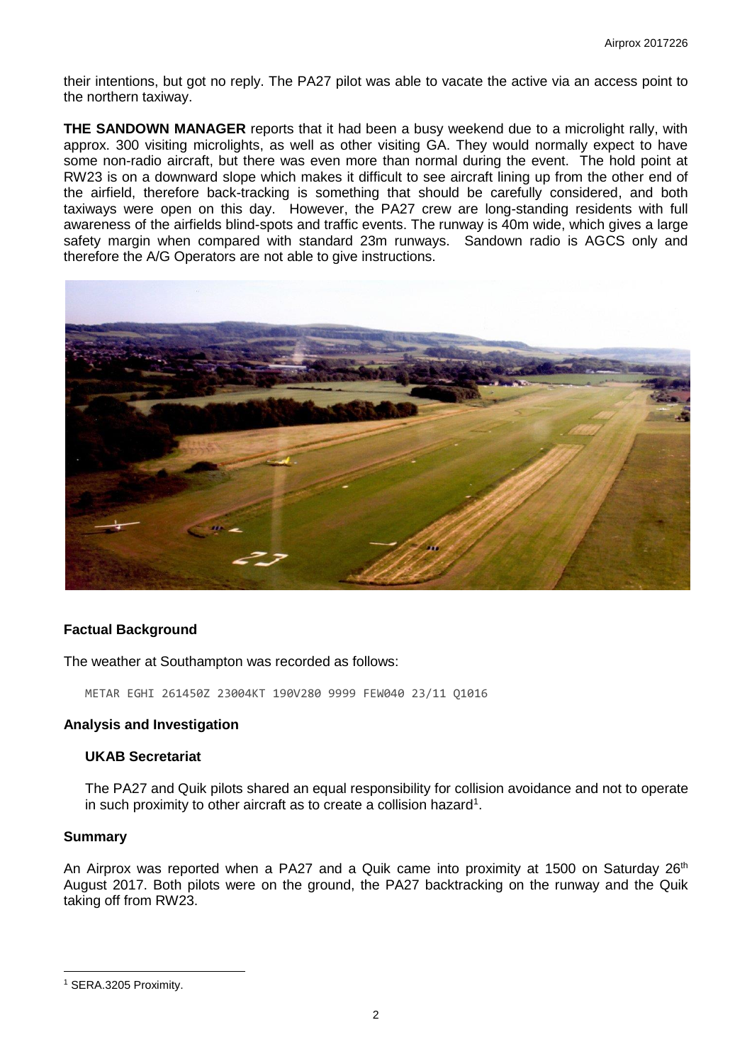their intentions, but got no reply. The PA27 pilot was able to vacate the active via an access point to the northern taxiway.

**THE SANDOWN MANAGER** reports that it had been a busy weekend due to a microlight rally, with approx. 300 visiting microlights, as well as other visiting GA. They would normally expect to have some non-radio aircraft, but there was even more than normal during the event. The hold point at RW23 is on a downward slope which makes it difficult to see aircraft lining up from the other end of the airfield, therefore back-tracking is something that should be carefully considered, and both taxiways were open on this day. However, the PA27 crew are long-standing residents with full awareness of the airfields blind-spots and traffic events. The runway is 40m wide, which gives a large safety margin when compared with standard 23m runways. Sandown radio is AGCS only and therefore the A/G Operators are not able to give instructions.



# **Factual Background**

The weather at Southampton was recorded as follows:

METAR EGHI 261450Z 23004KT 190V280 9999 FEW040 23/11 Q1016

### **Analysis and Investigation**

# **UKAB Secretariat**

The PA27 and Quik pilots shared an equal responsibility for collision avoidance and not to operate in such proximity to other aircraft as to create a collision hazard<sup>1</sup>.

### **Summary**

l

An Airprox was reported when a PA27 and a Quik came into proximity at 1500 on Saturday  $26<sup>th</sup>$ August 2017. Both pilots were on the ground, the PA27 backtracking on the runway and the Quik taking off from RW23.

<sup>1</sup> SERA.3205 Proximity.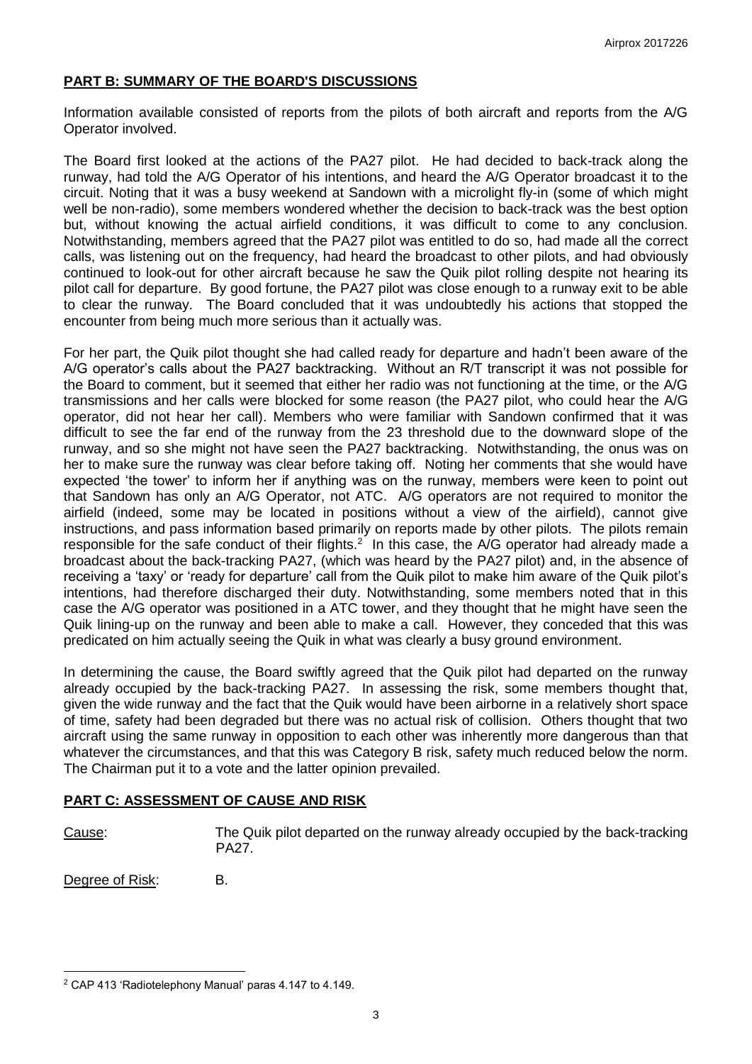# **PART B: SUMMARY OF THE BOARD'S DISCUSSIONS**

Information available consisted of reports from the pilots of both aircraft and reports from the A/G Operator involved.

The Board first looked at the actions of the PA27 pilot. He had decided to back-track along the runway, had told the A/G Operator of his intentions, and heard the A/G Operator broadcast it to the circuit. Noting that it was a busy weekend at Sandown with a microlight fly-in (some of which might well be non-radio), some members wondered whether the decision to back-track was the best option but, without knowing the actual airfield conditions, it was difficult to come to any conclusion. Notwithstanding, members agreed that the PA27 pilot was entitled to do so, had made all the correct calls, was listening out on the frequency, had heard the broadcast to other pilots, and had obviously continued to look-out for other aircraft because he saw the Quik pilot rolling despite not hearing its pilot call for departure. By good fortune, the PA27 pilot was close enough to a runway exit to be able to clear the runway. The Board concluded that it was undoubtedly his actions that stopped the encounter from being much more serious than it actually was.

For her part, the Quik pilot thought she had called ready for departure and hadn't been aware of the A/G operator's calls about the PA27 backtracking. Without an R/T transcript it was not possible for the Board to comment, but it seemed that either her radio was not functioning at the time, or the A/G transmissions and her calls were blocked for some reason (the PA27 pilot, who could hear the A/G operator, did not hear her call). Members who were familiar with Sandown confirmed that it was difficult to see the far end of the runway from the 23 threshold due to the downward slope of the runway, and so she might not have seen the PA27 backtracking. Notwithstanding, the onus was on her to make sure the runway was clear before taking off. Noting her comments that she would have expected 'the tower' to inform her if anything was on the runway, members were keen to point out that Sandown has only an A/G Operator, not ATC. A/G operators are not required to monitor the airfield (indeed, some may be located in positions without a view of the airfield), cannot give instructions, and pass information based primarily on reports made by other pilots. The pilots remain responsible for the safe conduct of their flights.<sup>2</sup> In this case, the A/G operator had already made a broadcast about the back-tracking PA27, (which was heard by the PA27 pilot) and, in the absence of receiving a 'taxy' or 'ready for departure' call from the Quik pilot to make him aware of the Quik pilot's intentions, had therefore discharged their duty. Notwithstanding, some members noted that in this case the A/G operator was positioned in a ATC tower, and they thought that he might have seen the Quik lining-up on the runway and been able to make a call. However, they conceded that this was predicated on him actually seeing the Quik in what was clearly a busy ground environment.

In determining the cause, the Board swiftly agreed that the Quik pilot had departed on the runway already occupied by the back-tracking PA27. In assessing the risk, some members thought that, given the wide runway and the fact that the Quik would have been airborne in a relatively short space of time, safety had been degraded but there was no actual risk of collision. Others thought that two aircraft using the same runway in opposition to each other was inherently more dangerous than that whatever the circumstances, and that this was Category B risk, safety much reduced below the norm. The Chairman put it to a vote and the latter opinion prevailed.

#### **PART C: ASSESSMENT OF CAUSE AND RISK**

l

Cause: The Quik pilot departed on the runway already occupied by the back-tracking PA27.

Degree of Risk: B.

<sup>2</sup> CAP 413 'Radiotelephony Manual' paras 4.147 to 4.149.